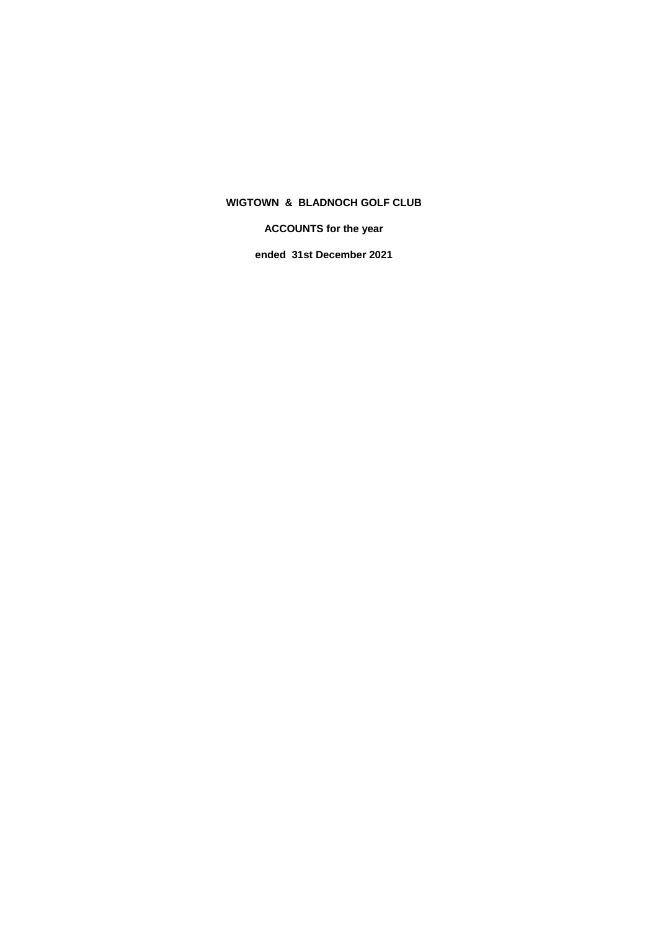**ACCOUNTS for the year**

**ended 31st December 2021**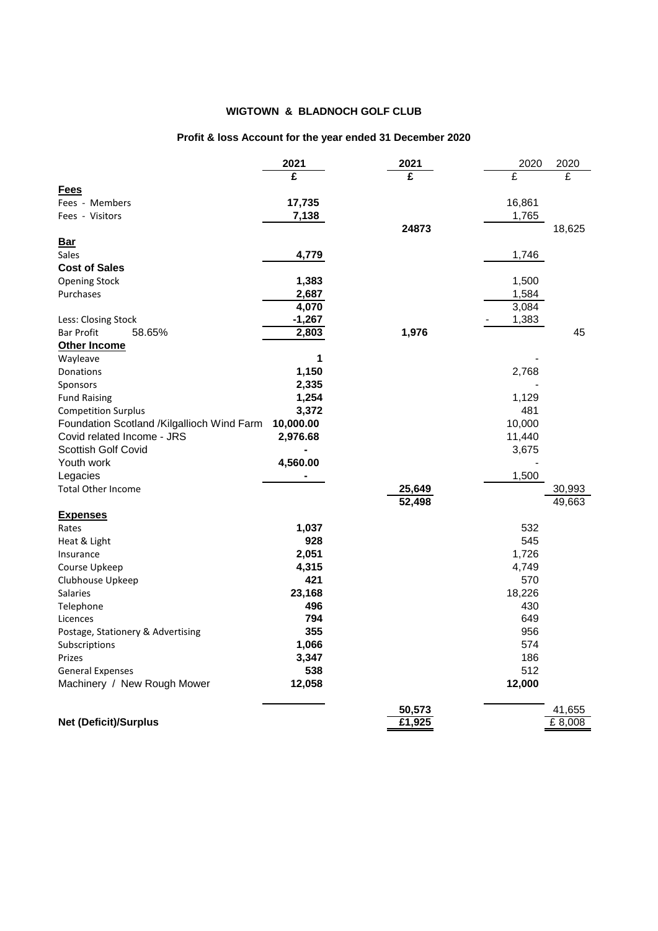# **Profit & loss Account for the year ended 31 December 2020**

|                                            | 2021      | 2021   | 2020   | 2020   |
|--------------------------------------------|-----------|--------|--------|--------|
|                                            | £         | £      | £      | £      |
| Fees                                       |           |        |        |        |
| Fees - Members                             | 17,735    |        | 16,861 |        |
| Fees - Visitors                            | 7,138     |        | 1,765  |        |
|                                            |           | 24873  |        | 18,625 |
| <b>Bar</b>                                 |           |        |        |        |
| Sales                                      | 4,779     |        | 1,746  |        |
| <b>Cost of Sales</b>                       |           |        |        |        |
| <b>Opening Stock</b>                       | 1,383     |        | 1,500  |        |
| Purchases                                  | 2,687     |        | 1,584  |        |
|                                            | 4,070     |        | 3,084  |        |
| Less: Closing Stock                        | $-1,267$  |        | 1,383  |        |
| <b>Bar Profit</b><br>58.65%                | 2,803     | 1,976  |        | 45     |
| <b>Other Income</b>                        |           |        |        |        |
| Wayleave                                   | 1         |        |        |        |
| Donations                                  | 1,150     |        | 2,768  |        |
| Sponsors                                   | 2,335     |        |        |        |
| <b>Fund Raising</b>                        | 1,254     |        | 1,129  |        |
| <b>Competition Surplus</b>                 | 3,372     |        | 481    |        |
| Foundation Scotland /Kilgallioch Wind Farm | 10,000.00 |        | 10,000 |        |
| Covid related Income - JRS                 | 2,976.68  |        | 11,440 |        |
| <b>Scottish Golf Covid</b>                 |           |        | 3,675  |        |
| Youth work                                 | 4,560.00  |        |        |        |
| Legacies                                   |           |        | 1,500  |        |
| <b>Total Other Income</b>                  |           | 25,649 |        | 30,993 |
|                                            |           | 52,498 |        | 49,663 |
| <b>Expenses</b>                            |           |        |        |        |
| Rates                                      | 1,037     |        | 532    |        |
| Heat & Light                               | 928       |        | 545    |        |
| Insurance                                  | 2,051     |        | 1,726  |        |
| Course Upkeep                              | 4,315     |        | 4,749  |        |
| Clubhouse Upkeep                           | 421       |        | 570    |        |
| <b>Salaries</b>                            | 23,168    |        | 18,226 |        |
| Telephone                                  | 496       |        | 430    |        |
| Licences                                   | 794       |        | 649    |        |
| Postage, Stationery & Advertising          | 355       |        | 956    |        |
| Subscriptions                              | 1,066     |        | 574    |        |
| Prizes                                     | 3,347     |        | 186    |        |
| <b>General Expenses</b>                    | 538       |        | 512    |        |
| Machinery / New Rough Mower                | 12,058    |        | 12,000 |        |
|                                            |           |        |        |        |
|                                            |           | 50,573 |        | 41,655 |
| <b>Net (Deficit)/Surplus</b>               |           | £1,925 |        | £8,008 |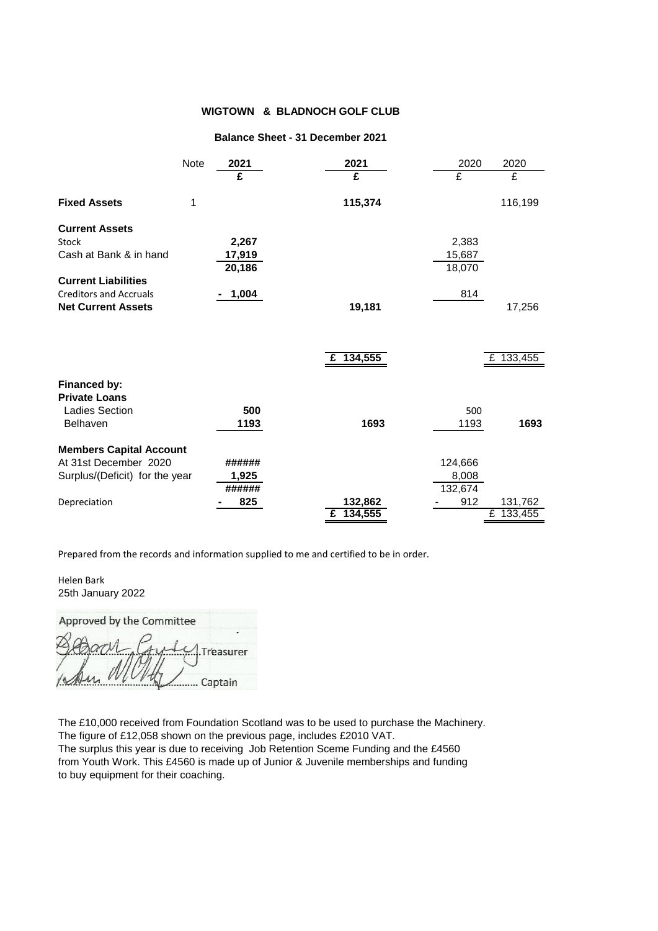#### **Balance Sheet - 31 December 2021**

|                                | <b>Note</b> | 2021   | 2021      | 2020    | 2020      |
|--------------------------------|-------------|--------|-----------|---------|-----------|
|                                |             | £      | £         | £       | £         |
| <b>Fixed Assets</b>            | 1           |        | 115,374   |         | 116,199   |
| <b>Current Assets</b>          |             |        |           |         |           |
| <b>Stock</b>                   |             | 2,267  |           | 2,383   |           |
| Cash at Bank & in hand         |             | 17,919 |           | 15,687  |           |
|                                |             | 20,186 |           | 18,070  |           |
| <b>Current Liabilities</b>     |             |        |           |         |           |
| <b>Creditors and Accruals</b>  |             | 1,004  |           | 814     |           |
| <b>Net Current Assets</b>      |             |        | 19,181    |         | 17,256    |
|                                |             |        |           |         |           |
|                                |             |        | £ 134,555 |         | £ 133,455 |
| Financed by:                   |             |        |           |         |           |
| <b>Private Loans</b>           |             |        |           |         |           |
| <b>Ladies Section</b>          |             | 500    |           | 500     |           |
| Belhaven                       |             | 1193   | 1693      | 1193    | 1693      |
| <b>Members Capital Account</b> |             |        |           |         |           |
| At 31st December 2020          |             | ###### |           | 124,666 |           |
| Surplus/(Deficit) for the year |             | 1,925  |           | 8,008   |           |
|                                |             | ###### |           | 132,674 |           |
| Depreciation                   |             | 825    | 132,862   | 912     | 131,762   |
|                                |             |        | £ 134,555 |         | £ 133,455 |

Prepared from the records and information supplied to me and certified to be in order.

… Captain

Helen Bark 25th January 2022

Approved by the Committee  $\lambda$  $\overline{I}$  ,  $\overline{I}$   $\overline{I}$   $\overline{I}$   $\overline{I}$   $\overline{I}$   $\overline{I}$   $\overline{I}$ 

The £10,000 received from Foundation Scotland was to be used to purchase the Machinery. The figure of £12,058 shown on the previous page, includes £2010 VAT. The surplus this year is due to receiving Job Retention Sceme Funding and the £4560 from Youth Work. This £4560 is made up of Junior & Juvenile memberships and funding to buy equipment for their coaching.